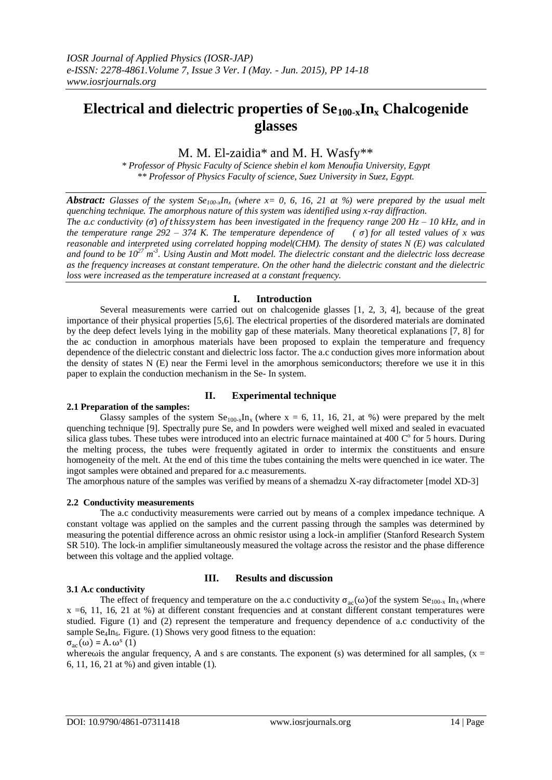# **Electrical and dielectric properties of Se100-xIn<sup>x</sup> Chalcogenide glasses**

### M. M. El-zaidia\* and M. H. Wasfy\*\*

*\* Professor of Physic Faculty of Science shebin el kom Menoufia University, Egypt \*\* Professor of Physics Faculty of science, Suez University in Suez, Egypt.*

*Abstract: Glasses of the system Se<sub>100-x</sub>In<sub>x</sub> (where x= 0, 6, 16, 21 at %) were prepared by the usual melt quenching technique. The amorphous nature of this system was identified using x-ray diffraction.* 

*The a.c conductivity (* $\sigma$ *) of thissystem has been investigated in the frequency range 200 Hz – 10 kHz, and in the temperature range* 292 – 374 K. The temperature dependence of  $(\sigma)$  for all tested values of x was *reasonable and interpreted using correlated hopping model(CHM). The density of states N (E) was calculated and found to be 10<sup>27</sup> m -3 . Using Austin and Mott model. The dielectric constant and the dielectric loss decrease as the frequency increases at constant temperature. On the other hand the dielectric constant and the dielectric loss were increased as the temperature increased at a constant frequency.*

#### **I. Introduction**

Several measurements were carried out on chalcogenide glasses [1, 2, 3, 4], because of the great importance of their physical properties [5,6]. The electrical properties of the disordered materials are dominated by the deep defect levels lying in the mobility gap of these materials. Many theoretical explanations [7, 8] for the ac conduction in amorphous materials have been proposed to explain the temperature and frequency dependence of the dielectric constant and dielectric loss factor. The a.c conduction gives more information about the density of states N (E) near the Fermi level in the amorphous semiconductors; therefore we use it in this paper to explain the conduction mechanism in the Se- In system.

## **2.1 Preparation of the samples:**

### **II. Experimental technique**

Glassy samples of the system  $Se<sub>100-x</sub>In<sub>x</sub>$  (where x = 6, 11, 16, 21, at %) were prepared by the melt quenching technique [9]. Spectrally pure Se, and In powders were weighed well mixed and sealed in evacuated silica glass tubes. These tubes were introduced into an electric furnace maintained at 400  $\degree$  for 5 hours. During the melting process, the tubes were frequently agitated in order to intermix the constituents and ensure homogeneity of the melt. At the end of this time the tubes containing the melts were quenched in ice water. The ingot samples were obtained and prepared for a.c measurements.

The amorphous nature of the samples was verified by means of a shemadzu X-ray difractometer [model XD-3]

### **2.2 Conductivity measurements**

The a.c conductivity measurements were carried out by means of a complex impedance technique. A constant voltage was applied on the samples and the current passing through the samples was determined by measuring the potential difference across an ohmic resistor using a lock-in amplifier (Stanford Research System SR 510). The lock-in amplifier simultaneously measured the voltage across the resistor and the phase difference between this voltage and the applied voltage.

### **3.1 A.c conductivity**

### **III. Results and discussion**

The effect of frequency and temperature on the a.c conductivity  $\sigma_{ac}(\omega)$  of the system  $Se_{100-x}$  In<sub>x</sub> (where x =6, 11, 16, 21 at %) at different constant frequencies and at constant different constant temperatures were studied. Figure (1) and (2) represent the temperature and frequency dependence of a.c conductivity of the sample  $\text{Se}_4\text{In}_6$ . Figure. (1) Shows very good fitness to the equation:

 $\sigma_{ac}(\omega) = A \omega^s (1)$ 

wherewis the angular frequency, A and s are constants. The exponent (s) was determined for all samples,  $(x =$ 6, 11, 16, 21 at %) and given intable (1).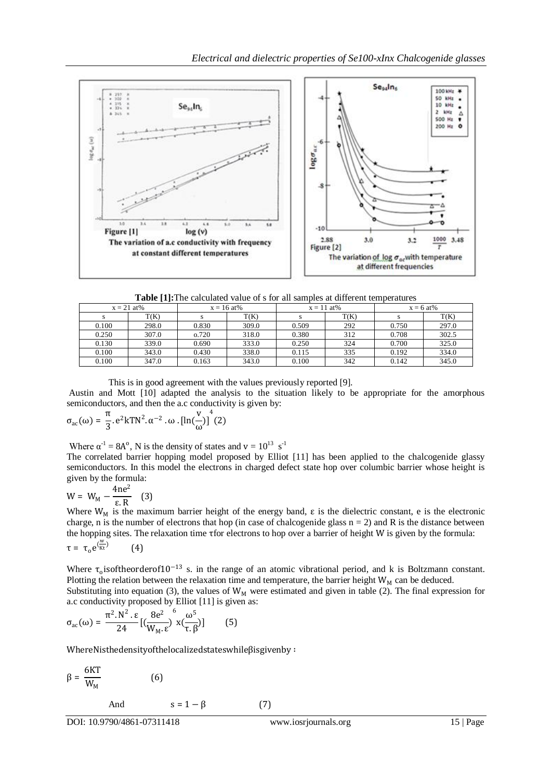

**Table [1]:**The calculated value of s for all samples at different temperatures

| $x = 21$ at% |       | $x = 16$ at% |       | $x = 11$ at% |      | $x = 6$ at% |       |
|--------------|-------|--------------|-------|--------------|------|-------------|-------|
|              | T(K)  |              | T(K)  |              | T(K) |             | T(K)  |
| 0.100        | 298.0 | 0.830        | 309.0 | 0.509        | 292  | 0.750       | 297.0 |
| 0.250        | 307.0 | 0.720        | 318.0 | 0.380        | 312  | 0.708       | 302.5 |
| 0.130        | 339.0 | 0.690        | 333.0 | 0.250        | 324  | 0.700       | 325.0 |
| 0.100        | 343.0 | 0.430        | 338.0 | 0.115        | 335  | 0.192       | 334.0 |
| 0.100        | 347.0 | 0.163        | 343.0 | 0.100        | 342  | 0.142       | 345.0 |

This is in good agreement with the values previously reported [9].

Austin and Mott [10] adapted the analysis to the situation likely to be appropriate for the amorphous semiconductors, and then the a.c conductivity is given by:

$$
\sigma_{ac}(\omega) = \frac{\pi}{3} \cdot e^2 k T N^2 \cdot \alpha^{-2} \cdot \omega \cdot [\ln(\frac{v}{\omega})]^4 (2)
$$

Where  $\alpha^{-1} = 8A^0$ , N is the density of states and  $v = 10^{13}$  s<sup>-1</sup>

The correlated barrier hopping model proposed by Elliot [11] has been applied to the chalcogenide glassy semiconductors. In this model the electrons in charged defect state hop over columbic barrier whose height is given by the formula:

$$
W = W_M - \frac{4ne^2}{\epsilon R} \quad (3)
$$

Where  $W_M$  is the maximum barrier height of the energy band,  $\varepsilon$  is the dielectric constant, e is the electronic charge, n is the number of electrons that hop (in case of chalcogenide glass  $n = 2$ ) and R is the distance between the hopping sites. The relaxation time τfor electrons to hop over a barrier of height W is given by the formula:  $\tau = \tau_0 e^{(\frac{w}{Kt})}$ (4)

Where  $\tau_0$  isoftheorderof10<sup>-13</sup> s. in the range of an atomic vibrational period, and k is Boltzmann constant. Plotting the relation between the relaxation time and temperature, the barrier height  $W_M$  can be deduced. Substituting into equation (3), the values of  $W_M$  were estimated and given in table (2). The final expression for a.c conductivity proposed by Elliot [11] is given as:

$$
\sigma_{\rm ac}(\omega) = \frac{\pi^2 . \, \mathrm{N}^2 . \, \varepsilon}{24} \, [ \, (\frac{8 \mathrm{e}^2}{\mathrm{W}_\mathrm{M} . \, \varepsilon})^\mathrm{6} \, x (\frac{\omega^5}{\tau . \, \beta}) ] \qquad \text{(5)}
$$

WhereNisthedensityofthelocalizedstateswhileβisgivenby ∶

$$
\beta = \frac{6KT}{W_M} \tag{6}
$$

And 
$$
s = 1 - \beta
$$
 (7)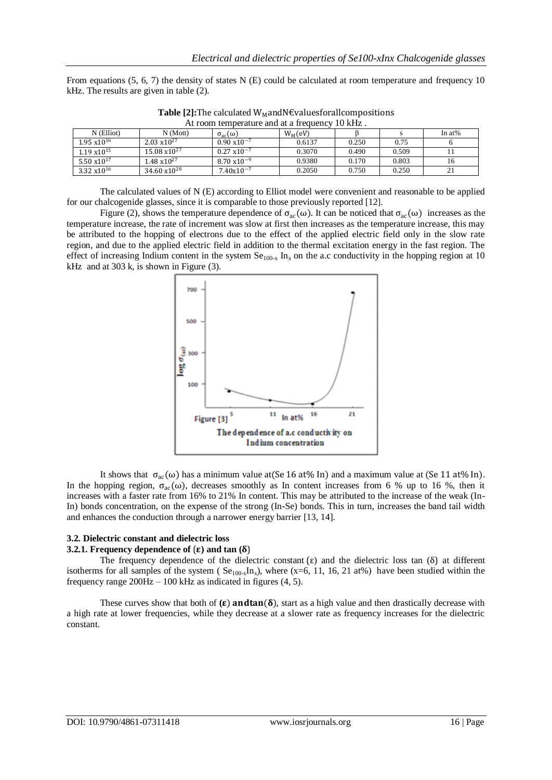From equations  $(5, 6, 7)$  the density of states N (E) could be calculated at room temperature and frequency 10 kHz. The results are given in table (2).

| At room temperature and at a frequency 10 kHz. |                        |                       |            |       |       |           |  |  |  |  |
|------------------------------------------------|------------------------|-----------------------|------------|-------|-------|-----------|--|--|--|--|
| $N$ (Elliot)                                   | N(Mott)                | $\sigma_{ac}(\omega)$ | $W_M$ (eV) |       |       | In $at\%$ |  |  |  |  |
| $1.95 \times 10^{16}$                          | $2.03 \times 10^{27}$  | $0.90 \times 10^{-7}$ | 0.6137     | 0.250 | 0.75  |           |  |  |  |  |
| $1.19 \times 10^{15}$                          | $15.08 \times 10^{27}$ | $0.27 \times 10^{-7}$ | 0.3070     | 0.490 | 0.509 |           |  |  |  |  |
| 5.50 $x10^{17}$                                | $1.48 \times 10^{27}$  | $8.70 \times 10^{-9}$ | 0.9380     | 0.170 | 0.803 | 16        |  |  |  |  |
| $3.32 \times 10^{16}$                          | $34.60 \times 10^{28}$ | $7.40x10^{-7}$        | 0.2050     | 0.750 | 0.250 | 21        |  |  |  |  |

**Table [2]:**The calculated  $W<sub>M</sub>$ andN€valuesforallcompositions

The calculated values of N (E) according to Elliot model were convenient and reasonable to be applied for our chalcogenide glasses, since it is comparable to those previously reported [12].

Figure (2), shows the temperature dependence of  $\sigma_{ac}(\omega)$ . It can be noticed that  $\sigma_{ac}(\omega)$  increases as the temperature increase, the rate of increment was slow at first then increases as the temperature increase, this may be attributed to the hopping of electrons due to the effect of the applied electric field only in the slow rate region, and due to the applied electric field in addition to the thermal excitation energy in the fast region. The effect of increasing Indium content in the system  $Se_{100-x}$  In<sub>x</sub> on the a.c conductivity in the hopping region at 10 kHz and at 303 k, is shown in Figure (3).



It shows that  $\sigma_{ac}(\omega)$  has a minimum value at (Se 16 at% In) and a maximum value at (Se 11 at% In). In the hopping region,  $\sigma_{ac}(\omega)$ , decreases smoothly as In content increases from 6 % up to 16 %, then it increases with a faster rate from 16% to 21% In content. This may be attributed to the increase of the weak (In-In) bonds concentration, on the expense of the strong (In-Se) bonds. This in turn, increases the band tail width and enhances the conduction through a narrower energy barrier [13, 14].

#### **3.2. Dielectric constant and dielectric loss**

### **3.2.1. Frequency dependence of**  $(\epsilon)$  and  $\tan (\delta)$

The frequency dependence of the dielectric constant  $(\varepsilon)$  and the dielectric loss tan  $(\delta)$  at different isotherms for all samples of the system ( $Se<sub>100-x</sub>In<sub>x</sub>$ ), where (x=6, 11, 16, 21 at%) have been studied within the frequency range 200Hz – 100 kHz as indicated in figures (4, 5).

These curves show that both of  $(\epsilon)$  and tan $(\delta)$ , start as a high value and then drastically decrease with a high rate at lower frequencies, while they decrease at a slower rate as frequency increases for the dielectric constant.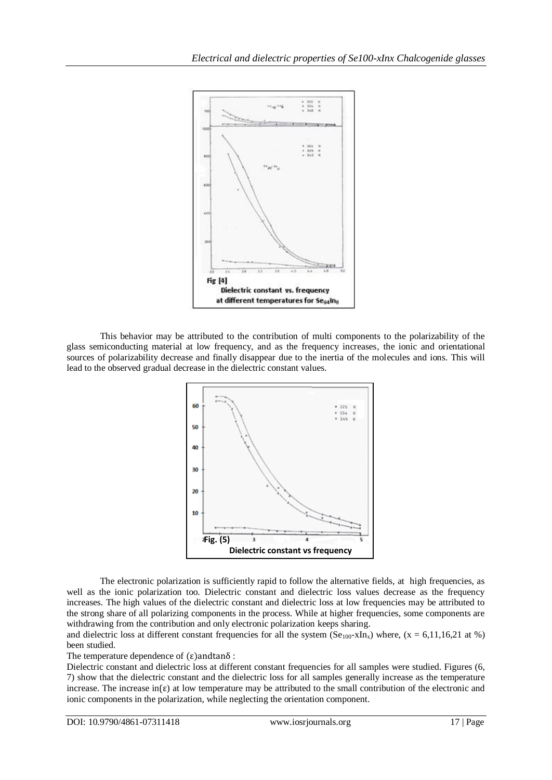

This behavior may be attributed to the contribution of multi components to the polarizability of the glass semiconducting material at low frequency, and as the frequency increases, the ionic and orientational sources of polarizability decrease and finally disappear due to the inertia of the molecules and ions. This will lead to the observed gradual decrease in the dielectric constant values.



The electronic polarization is sufficiently rapid to follow the alternative fields, at high frequencies, as well as the ionic polarization too. Dielectric constant and dielectric loss values decrease as the frequency increases. The high values of the dielectric constant and dielectric loss at low frequencies may be attributed to the strong share of all polarizing components in the process. While at higher frequencies, some components are withdrawing from the contribution and only electronic polarization keeps sharing.

and dielectric loss at different constant frequencies for all the system ( $Se<sub>100</sub>-xIn<sub>x</sub>$ ) where, (x = 6,11,16,21 at %) been studied.

The temperature dependence of  $(\epsilon)$ andtan $\delta$ :

Dielectric constant and dielectric loss at different constant frequencies for all samples were studied. Figures (6, 7) show that the dielectric constant and the dielectric loss for all samples generally increase as the temperature increase. The increase in( $\varepsilon$ ) at low temperature may be attributed to the small contribution of the electronic and ionic components in the polarization, while neglecting the orientation component.